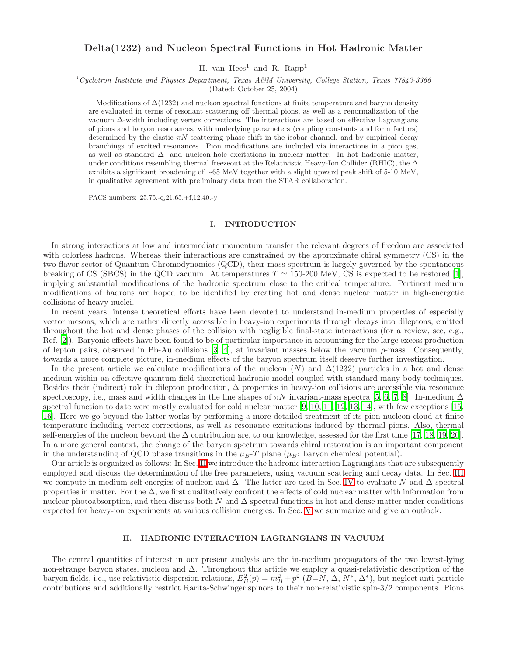# Delta(1232) and Nucleon Spectral Functions in Hot Hadronic Matter

H. van  $Hees<sup>1</sup>$  and R. Rapp<sup>1</sup>

 $1^1$ Cyclotron Institute and Physics Department, Texas A&M University, College Station, Texas  $77843-3366$ 

(Dated: October 25, 2004)

Modifications of  $\Delta(1232)$  and nucleon spectral functions at finite temperature and baryon density are evaluated in terms of resonant scattering off thermal pions, as well as a renormalization of the vacuum ∆-width including vertex corrections. The interactions are based on effective Lagrangians of pions and baryon resonances, with underlying parameters (coupling constants and form factors) determined by the elastic  $\pi N$  scattering phase shift in the isobar channel, and by empirical decay branchings of excited resonances. Pion modifications are included via interactions in a pion gas, as well as standard ∆- and nucleon-hole excitations in nuclear matter. In hot hadronic matter, under conditions resembling thermal freezeout at the Relativistic Heavy-Ion Collider (RHIC), the  $\Delta$ exhibits a significant broadening of ∼65 MeV together with a slight upward peak shift of 5-10 MeV, in qualitative agreement with preliminary data from the STAR collaboration.

PACS numbers: 25.75.-q,21.65.+f,12.40.-y

#### I. INTRODUCTION

In strong interactions at low and intermediate momentum transfer the relevant degrees of freedom are associated with colorless hadrons. Whereas their interactions are constrained by the approximate chiral symmetry (CS) in the two-flavor sector of Quantum Chromodynamics (QCD), their mass spectrum is largely governed by the spontaneous breaking of CS (SBCS) in the QCD vacuum. At temperatures  $T \simeq 150{\text -}200$  MeV, CS is expected to be restored [\[1\]](#page-6-0), implying substantial modifications of the hadronic spectrum close to the critical temperature. Pertinent medium modifications of hadrons are hoped to be identified by creating hot and dense nuclear matter in high-energetic collisions of heavy nuclei.

In recent years, intense theoretical efforts have been devoted to understand in-medium properties of especially vector mesons, which are rather directly accessible in heavy-ion experiments through decays into dileptons, emitted throughout the hot and dense phases of the collision with negligible final-state interactions (for a review, see, e.g., Ref. [\[2](#page-6-1)]). Baryonic effects have been found to be of particular importance in accounting for the large excess production of lepton pairs, observed in Pb-Au collisions [\[3,](#page-6-2) [4](#page-6-3)], at invariant masses below the vacuum  $\rho$ -mass. Consequently, towards a more complete picture, in-medium effects of the baryon spectrum itself deserve further investigation.

In the present article we calculate modifications of the nucleon  $(N)$  and  $\Delta(1232)$  particles in a hot and dense medium within an effective quantum-field theoretical hadronic model coupled with standard many-body techniques. Besides their (indirect) role in dilepton production,  $\Delta$  properties in heavy-ion collisions are accessible via resonance spectroscopy, i.e., mass and width changes in the line shapes of  $\pi N$  invariant-mass spectra [\[5](#page-6-4), [6](#page-6-5), [7](#page-6-6), [8](#page-6-7)]. In-medium  $\Delta$ spectral function to date were mostly evaluated for cold nuclear matter [\[9,](#page-6-8) [10](#page-6-9), [11](#page-6-10), [12,](#page-6-11) [13,](#page-6-12) [14](#page-6-13)], with few exceptions [\[15,](#page-6-14) [16](#page-6-15)]. Here we go beyond the latter works by performing a more detailed treatment of its pion-nucleon cloud at finite temperature including vertex corrections, as well as resonance excitations induced by thermal pions. Also, thermal self-energies of the nucleon beyond the ∆ contribution are, to our knowledge, assessed for the first time [\[17](#page-6-16), [18,](#page-6-17) [19](#page-6-18), [20\]](#page-6-19). In a more general context, the change of the baryon spectrum towards chiral restoration is an important component in the understanding of QCD phase transitions in the  $\mu_B$ -T plane ( $\mu_B$ : baryon chemical potential).

Our article is organized as follows: In Sec. [II](#page-0-0) we introduce the hadronic interaction Lagrangians that are subsequently employed and discuss the determination of the free parameters, using vacuum scattering and decay data. In Sec. [III](#page-2-0) we compute in-medium self-energies of nucleon and  $\Delta$ . The latter are used in Sec. [IV](#page-4-0) to evaluate N and  $\Delta$  spectral properties in matter. For the  $\Delta$ , we first qualitatively confront the effects of cold nuclear matter with information from nuclear photoabsorption, and then discuss both N and  $\Delta$  spectral functions in hot and dense matter under conditions expected for heavy-ion experiments at various collision energies. In Sec. [V](#page-5-0) we summarize and give an outlook.

### II. HADRONIC INTERACTION LAGRANGIANS IN VACUUM

<span id="page-0-0"></span>The central quantities of interest in our present analysis are the in-medium propagators of the two lowest-lying non-strange baryon states, nucleon and ∆. Throughout this article we employ a quasi-relativistic description of the baryon fields, i.e., use relativistic dispersion relations,  $E_B^2(\vec{p}) = m_B^2 + \vec{p}^2$   $(B=N, \Delta, N^*, \Delta^*)$ , but neglect anti-particle contributions and additionally restrict Rarita-Schwinger spinors to their non-relativistic spin-3/2 components. Pions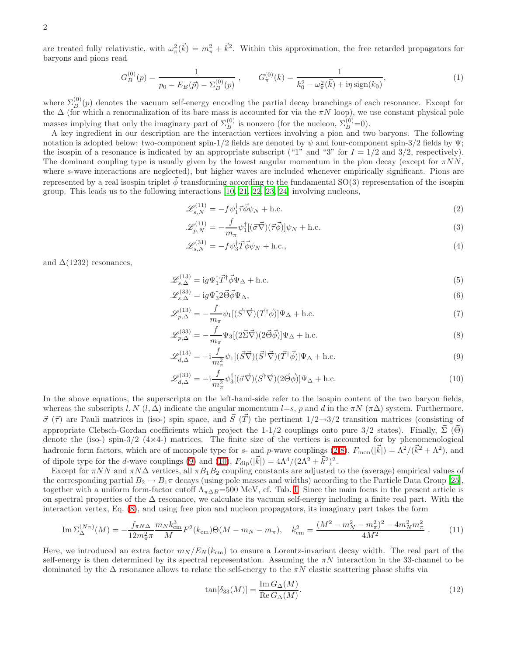are treated fully relativistic, with  $\omega_{\pi}^2(\vec{k}) = m_{\pi}^2 + \vec{k}^2$ . Within this approximation, the free retarded propagators for baryons and pions read

$$
G_B^{(0)}(p) = \frac{1}{p_0 - E_B(\vec{p}) - \Sigma_B^{(0)}(p)}, \qquad G_\pi^{(0)}(k) = \frac{1}{k_0^2 - \omega_\pi^2(\vec{k}) + i\eta \operatorname{sign}(k_0)},\tag{1}
$$

where  $\Sigma_B^{(0)}(p)$  denotes the vacuum self-energy encoding the partial decay branchings of each resonance. Except for the  $\Delta$  (for which a renormalization of its bare mass is accounted for via the  $\pi N$  loop), we use constant physical pole masses implying that only the imaginary part of  $\Sigma_B^{(0)}$  is nonzero (for the nucleon,  $\Sigma_B^{(0)}=0$ ).

A key ingredient in our description are the interaction vertices involving a pion and two baryons. The following notation is adopted below: two-component spin-1/2 fields are denoted by  $\psi$  and four-component spin-3/2 fields by  $\Psi$ ; the isospin of a resonance is indicated by an appropriate subscript ("1" and "3" for  $I = 1/2$  and 3/2, respectively). The dominant coupling type is usually given by the lowest angular momentum in the pion decay (except for  $\pi NN$ , where s-wave interactions are neglected), but higher waves are included whenever empirically significant. Pions are represented by a real isospin triplet  $\vec{\phi}$  transforming according to the fundamental SO(3) representation of the isospin group. This leads us to the following interactions [\[10,](#page-6-9) [21,](#page-6-20) [22,](#page-6-21) [23](#page-6-22), [24](#page-6-23)] involving nucleons,

<span id="page-1-0"></span>
$$
\mathcal{L}_{s,N}^{(11)} = -f\psi_1^\dagger \vec{\tau} \vec{\phi} \psi_N + \text{h.c.} \tag{2}
$$

<span id="page-1-4"></span>
$$
\mathcal{L}_{p,N}^{(11)} = -\frac{f}{m_{\pi}} \psi_1^{\dagger} [(\vec{\sigma}\vec{\nabla})(\vec{\tau}\vec{\phi})] \psi_N + \text{h.c.}
$$
\n(3)

<span id="page-1-7"></span><span id="page-1-6"></span><span id="page-1-5"></span>
$$
\mathcal{L}_{s,N}^{(31)} = -f\psi_3^\dagger \vec{T} \vec{\phi} \psi_N + \text{h.c.},\tag{4}
$$

and  $\Delta(1232)$  resonances,

$$
\mathcal{L}_{s,\Delta}^{(13)} = ig\Psi_1^{\dagger} \vec{T}^{\dagger} \vec{\phi} \Psi_{\Delta} + \text{h.c.}
$$
\n<sup>(5)</sup>

$$
\mathcal{L}_{s,\Delta}^{(33)} = ig\Psi_3^{\dagger}2\vec{\Theta}\vec{\phi}\Psi_{\Delta},\tag{6}
$$

$$
\mathcal{L}_{p,\Delta}^{(13)} = -\frac{f}{m_{\pi}} \psi_1 [(\vec{S}^\dagger \vec{\nabla})(\vec{T}^\dagger \vec{\phi})] \Psi_\Delta + \text{h.c.}
$$
\n(7)

<span id="page-1-1"></span>
$$
\mathcal{L}^{(33)}_{p,\Delta} = -\frac{f}{m_\pi} \Psi_3 \left[ (2\vec{\Sigma}\vec{\nabla})(2\vec{\Theta}\vec{\phi}) \right] \Psi_\Delta + \text{h.c.}
$$
\n(8)

<span id="page-1-2"></span>
$$
\mathcal{L}_{d,\Delta}^{(13)} = -\mathrm{i}\frac{f}{m_{\pi}^2} \psi_1[(\vec{S}\vec{\nabla})(\vec{S}^\dagger \vec{\nabla})(\vec{T}^\dagger \vec{\phi})]\Psi_\Delta + \text{h.c.}
$$
\n(9)

<span id="page-1-3"></span>
$$
\mathcal{L}_{d,\Delta}^{(33)} = -\mathrm{i}\frac{f}{m_{\pi}^2} \psi_3^{\dagger} [(\vec{\sigma}\vec{\nabla})(\vec{S}^{\dagger}\vec{\nabla})(2\vec{\Theta}\vec{\phi})] \Psi_{\Delta} + \text{h.c.}
$$
\n(10)

In the above equations, the superscripts on the left-hand-side refer to the isospin content of the two baryon fields, whereas the subscripts l, N  $(l, \Delta)$  indicate the angular momentum l=s, p and d in the  $\pi N$  ( $\pi\Delta$ ) system. Furthermore,  $\vec{\sigma}$  ( $\vec{\tau}$ ) are Pauli matrices in (iso-) spin space, and  $\vec{S}$  ( $\vec{T}$ ) the pertinent  $1/2\rightarrow 3/2$  transition matrices (consisting of appropriate Clebsch-Gordan coefficients which project the 1-1/2 couplings onto pure 3/2 states). Finally,  $\vec{\Sigma}$  ( $\vec{\Theta}$ ) denote the (iso-) spin-3/2  $(4\times4-)$  matrices. The finite size of the vertices is accounted for by phenomenological hadronic form factors, which are of monopole type for s- and p-wave couplings [\(2](#page-1-0)[-8\)](#page-1-1),  $F_{\text{mon}}(|\vec{k}|) = \Lambda^2/(\vec{k}^2 + \Lambda^2)$ , and of dipole type for the *d*-wave couplings [\(9\)](#page-1-2) and [\(10\)](#page-1-3),  $F_{\text{dip}}(|\vec{k}|) = 4\Lambda^4/(2\Lambda^2 + \vec{k}^2)^2$ .

Except for  $\pi NN$  and  $\pi N\Delta$  vertices, all  $\pi B_1B_2$  coupling constants are adjusted to the (average) empirical values of the corresponding partial  $B_2 \to B_1 \pi$  decays (using pole masses and widths) according to the Particle Data Group [\[25\]](#page-6-24), together with a uniform form-factor cutoff  $\Lambda_{\pi\Delta B}$ =500 MeV, cf. Tab. [I.](#page-2-1) Since the main focus in the present article is on spectral properties of the ∆ resonance, we calculate its vacuum self-energy including a finite real part. With the interaction vertex, Eq. [\(8\)](#page-1-1), and using free pion and nucleon propagators, its imaginary part takes the form

$$
\operatorname{Im}\Sigma_{\Delta}^{(N\pi)}(M) = -\frac{f_{\pi N\Delta}}{12m_{\pi}^2\pi} \frac{m_N k_{\rm cm}^3}{M} F^2(k_{\rm cm}) \Theta(M - m_N - m_{\pi}), \quad k_{\rm cm}^2 = \frac{(M^2 - m_N^2 - m_{\pi}^2)^2 - 4m_N^2 m_{\pi}^2}{4M^2} \ . \tag{11}
$$

Here, we introduced an extra factor  $m_N / E_N (k_{cm})$  to ensure a Lorentz-invariant decay width. The real part of the self-energy is then determined by its spectral representation. Assuming the  $\pi N$  interaction in the 33-channel to be dominated by the  $\Delta$  resonance allows to relate the self-energy to the  $\pi N$  elastic scattering phase shifts via

<span id="page-1-8"></span>
$$
\tan[\delta_{33}(M)] = \frac{\operatorname{Im} G_{\Delta}(M)}{\operatorname{Re} G_{\Delta}(M)}.
$$
\n(12)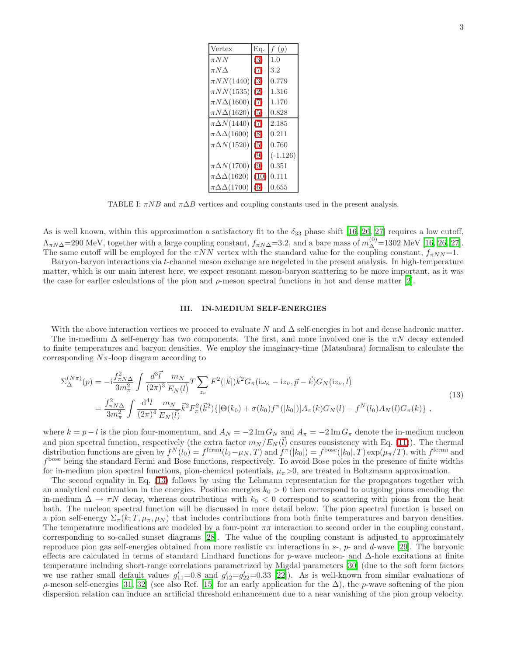| Vertex                     | Eq.  | $f\left(g\right)$ |
|----------------------------|------|-------------------|
| $\pi NN$                   | (3)  | 1.0               |
| $\pi N\Delta$              | (7)  | 3.2               |
| $\pi NN(1440)$             | (3)  | 0.779             |
| $\pi NN(1535)$             | (2)  | 1.316             |
| $\pi N\Delta(1600)$        | (7)  | 1.170             |
| $\pi N\Delta(1620)$        | (5)  | 0.828             |
| $\pi \Delta N(1440)$       | (7)  | 2.185             |
| $\pi \Delta \Delta (1600)$ | (8)  | 0.211             |
| $\pi \Delta N(1520)$       | (5)  | 0.760             |
|                            | (9)  | $(-1.126)$        |
| $\pi \Delta N(1700)$       | (9)  | 0.351             |
| $\pi \Delta \Delta (1620)$ | (10) | 0.111             |
| $\pi \Delta \Delta (1700)$ | 6)   | 0.655             |

<span id="page-2-1"></span>TABLE I:  $\pi NB$  and  $\pi \Delta B$  vertices and coupling constants used in the present analysis.

As is well known, within this approximation a satisfactory fit to the  $\delta_{33}$  phase shift [\[16,](#page-6-15) [26,](#page-6-25) [27\]](#page-6-26) requires a low cutoff,  $\Lambda_{\pi N\Delta}$ =290 MeV, together with a large coupling constant,  $f_{\pi N\Delta}$ =3.2, and a bare mass of  $m_{\Delta}^{(0)}$ =1302 MeV [\[16,](#page-6-15) [26](#page-6-25), [27\]](#page-6-26). The same cutoff will be employed for the  $\pi NN$  vertex with the standard value for the coupling constant,  $f_{\pi NN}$ =1.

Baryon-baryon interactions via t-channel meson exchange are negelcted in the present analysis. In high-temperature matter, which is our main interest here, we expect resonant meson-baryon scattering to be more important, as it was the case for earlier calculations of the pion and  $\rho$ -meson spectral functions in hot and dense matter [\[2](#page-6-1)].

#### <span id="page-2-2"></span><span id="page-2-0"></span>III. IN-MEDIUM SELF-ENERGIES

With the above interaction vertices we proceed to evaluate N and  $\Delta$  self-energies in hot and dense hadronic matter.

The in-medium  $\Delta$  self-energy has two components. The first, and more involved one is the  $\pi N$  decay extended to finite temperatures and baryon densities. We employ the imaginary-time (Matsubara) formalism to calculate the corresponding  $N\pi$ -loop diagram according to

$$
\Sigma_{\Delta}^{(N\pi)}(p) = -i\frac{f_{\pi N\Delta}^2}{3m_{\pi}^2} \int \frac{d^3\vec{l}}{(2\pi)^3} \frac{m_N}{E_N(\vec{l})} T \sum_{z_{\nu}} F^2(|\vec{k}|) \vec{k}^2 G_{\pi} (i\omega_{\kappa} - i z_{\nu}, \vec{p} - \vec{k}) G_N (i z_{\nu}, \vec{l})
$$
\n
$$
= \frac{f_{\pi N\Delta}^2}{3m_{\pi}^2} \int \frac{d^4l}{(2\pi)^4} \frac{m_N}{E_N(\vec{l})} \vec{k}^2 F_{\pi}^2(\vec{k}^2) \{ [\Theta(k_0) + \sigma(k_0) f^{\pi}(|k_0|)] A_{\pi}(k) G_N(l) - f^N(l_0) A_N(l) G_{\pi}(k) \},
$$
\n(13)

where  $k = p - l$  is the pion four-momentum, and  $A_N = -2 \text{Im} G_N$  and  $A_\pi = -2 \text{Im} G_\pi$  denote the in-medium nucleon and pion spectral function, respectively (the extra factor  $m_N / E_N(\vec{l})$  ensures consistency with Eq. [\(11\)](#page-1-8)). The thermal distribution functions are given by  $f^N(l_0) = f^{\text{fermi}}(l_0 - \mu_N, T)$  and  $f^{\pi}(|k_0|) = f^{\text{base}}(|k_0|, T) \exp(\mu_{\pi}/T)$ , with  $f^{\text{fermi}}$  and f bose being the standard Fermi and Bose functions, respectively. To avoid Bose poles in the presence of finite widths for in-medium pion spectral functions, pion-chemical potentials,  $\mu_{\pi}>0$ , are treated in Boltzmann approximation.

The second equality in Eq. [\(13\)](#page-2-2) follows by using the Lehmann representation for the propagators together with an analytical continuation in the energies. Positive energies  $k_0 > 0$  then correspond to outgoing pions encoding the in-medium  $\Delta \to \pi N$  decay, whereas contributions with  $k_0 < 0$  correspond to scattering with pions from the heat bath. The nucleon spectral function will be discussed in more detail below. The pion spectral function is based on a pion self-energy  $\Sigma_{\pi}(k;T,\mu_{\pi},\mu_{N})$  that includes contributions from both finite temperatures and baryon densities. The temperature modifications are modeled by a four-point  $\pi\pi$  interaction to second order in the coupling constant, corresponding to so-called sunset diagrams [\[28\]](#page-6-27). The value of the coupling constant is adjusted to approximately reproduce pion gas self-energies obtained from more realistic  $\pi\pi$  interactions in s-, p- and d-wave [\[29](#page-6-28)]. The baryonic effects are calculated in terms of standard Lindhard functions for p-wave nucleon- and  $\Delta$ -hole excitations at finite temperature including short-range correlations parametrized by Migdal parameters [\[30](#page-6-29)] (due to the soft form factors we use rather small default values  $g'_{11} = 0.8$  and  $g'_{12} = g'_{22} = 0.33$  [\[22\]](#page-6-21)). As is well-known from similar evaluations of  $\rho$ -meson self-energies [\[31](#page-6-30), [32\]](#page-6-31) (see also Ref. [\[15](#page-6-14)] for an early application for the  $\Delta$ ), the p-wave softening of the pion dispersion relation can induce an artificial threshold enhancement due to a near vanishing of the pion group velocity.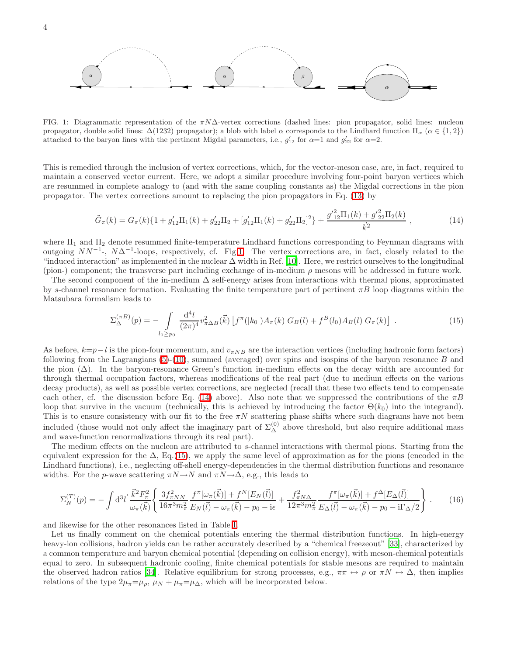

<span id="page-3-0"></span>FIG. 1: Diagrammatic representation of the  $\pi N\Delta$ -vertex corrections (dashed lines: pion propagator, solid lines: nucleon propagator, double solid lines:  $\Delta(1232)$  propagator); a blob with label  $\alpha$  corresponds to the Lindhard function  $\Pi_{\alpha}$  ( $\alpha \in \{1,2\}$ ) attached to the baryon lines with the pertinent Migdal parameters, i.e.,  $g'_{12}$  for  $\alpha=1$  and  $g'_{22}$  for  $\alpha=2$ .

This is remedied through the inclusion of vertex corrections, which, for the vector-meson case, are, in fact, required to maintain a conserved vector current. Here, we adopt a similar procedure involving four-point baryon vertices which are resummed in complete analogy to (and with the same coupling constants as) the Migdal corrections in the pion propagator. The vertex corrections amount to replacing the pion propagators in Eq. [\(13\)](#page-2-2) by

<span id="page-3-1"></span>
$$
\tilde{G}_{\pi}(k) = G_{\pi}(k)\{1 + g'_{12}\Pi_1(k) + g'_{22}\Pi_2 + [g'_{12}\Pi_1(k) + g'_{22}\Pi_2]^2\} + \frac{g'^{2}_{12}\Pi_1(k) + g'^{2}_{22}\Pi_2(k)}{\vec{k}^2},
$$
\n(14)

where  $\Pi_1$  and  $\Pi_2$  denote resummed finite-temperature Lindhard functions corresponding to Feynman diagrams with outgoing  $NN^{-1}$ -,  $N\Delta^{-1}$ -loops, respectively, cf. Fig[.1.](#page-3-0) The vertex corrections are, in fact, closely related to the "induced interaction" as implemented in the nuclear  $\Delta$  width in Ref. [\[10\]](#page-6-9). Here, we restrict ourselves to the longitudinal (pion-) component; the transverse part including exchange of in-medium  $\rho$  mesons will be addressed in future work.

The second component of the in-medium  $\Delta$  self-energy arises from interactions with thermal pions, approximated by s-channel resonance formation. Evaluating the finite temperature part of pertinent  $\pi B$  loop diagrams within the Matsubara formalism leads to

<span id="page-3-2"></span>
$$
\Sigma_{\Delta}^{(\pi B)}(p) = -\int\limits_{l_0 \geq p_0} \frac{\mathrm{d}^4 l}{(2\pi)^4} v_{\pi \Delta B}^2(\vec{k}) \left[ f^{\pi}(|k_0|) A_{\pi}(k) \; G_B(l) + f^B(l_0) A_B(l) \; G_{\pi}(k) \right] \; . \tag{15}
$$

As before,  $k=p-l$  is the pion-four momentum, and  $v_{\pi NB}$  are the interaction vertices (including hadronic form factors) following from the Lagrangians  $(5)-(10)$  $(5)-(10)$ , summed (averaged) over spins and isospins of the baryon resonance B and the pion (∆). In the baryon-resonance Green's function in-medium effects on the decay width are accounted for through thermal occupation factors, whereas modifications of the real part (due to medium effects on the various decay products), as well as possible vertex corrections, are neglected (recall that these two effects tend to compensate each other, cf. the discussion before Eq. [\(14\)](#page-3-1) above). Also note that we suppressed the contributions of the  $\pi B$ loop that survive in the vacuum (technically, this is achieved by introducing the factor  $\Theta(k_0)$  into the integrand). This is to ensure consistency with our fit to the free  $\pi N$  scattering phase shifts where such diagrams have not been included (those would not only affect the imaginary part of  $\Sigma_{\Delta}^{(0)}$  above threshold, but also require additional mass and wave-function renormalizations through its real part).

The medium effects on the nucleon are attributed to s-channel interactions with thermal pions. Starting from the equivalent expression for the  $\Delta$ , Eq.[\(15\)](#page-3-2), we apply the same level of approximation as for the pions (encoded in the Lindhard functions), i.e., neglecting off-shell energy-dependencies in the thermal distribution functions and resonance widths. For the p-wave scattering  $\pi N \rightarrow N$  and  $\pi N \rightarrow \Delta$ , e.g., this leads to

$$
\Sigma_N^{(T)}(p) = -\int \mathrm{d}^3 \vec{l} \frac{\vec{k}^2 F_\pi^2}{\omega_\pi(\vec{k})} \left\{ \frac{3f_{\pi NN}^2}{16\pi^3 m_\pi^2} \frac{f^\pi[\omega_\pi(\vec{k})] + f^N[E_N(\vec{l})]}{E_N(\vec{l}) - \omega_\pi(\vec{k}) - p_0 - \mathrm{i}\epsilon} + \frac{f_{\pi N\Delta}^2}{12\pi^3 m_\pi^2} \frac{f^\pi[\omega_\pi(\vec{k})] + f^\Delta[E_\Delta(\vec{l})]}{E_\Delta(\vec{l}) - \omega_\pi(\vec{k}) - p_0 - \mathrm{i}\Gamma_\Delta/2} \right\} \,. \tag{16}
$$

and likewise for the other resonances listed in Table [I.](#page-2-1)

Let us finally comment on the chemical potentials entering the thermal distribution functions. In high-energy heavy-ion collisions, hadron yields can be rather accurately described by a "chemical freezeout" [\[33\]](#page-6-32), characterized by a common temperature and baryon chemical potential (depending on collision energy), with meson-chemical potentials equal to zero. In subsequent hadronic cooling, finite chemical potentials for stable mesons are required to maintain the observed hadron ratios [\[34\]](#page-6-33). Relative equilibrium for strong processes, e.g.,  $\pi\pi \leftrightarrow \rho$  or  $\pi N \leftrightarrow \Delta$ , then implies relations of the type  $2\mu_{\pi} = \mu_0$ ,  $\mu_N + \mu_{\pi} = \mu_{\Delta}$ , which will be incorporated below.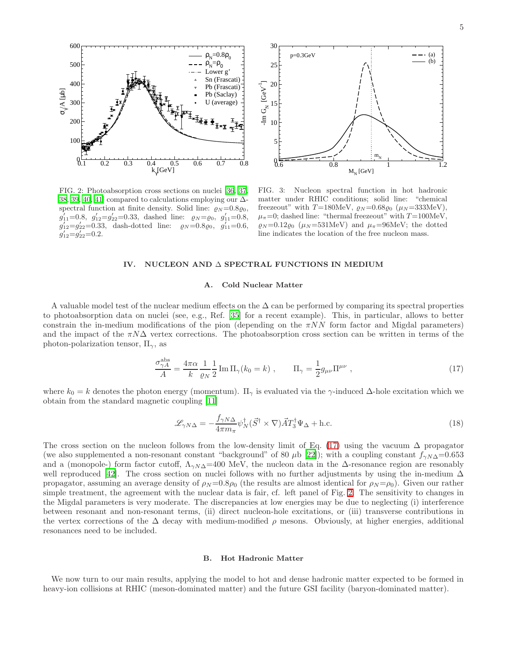

<span id="page-4-2"></span>FIG. 2: Photoabsorption cross sections on nuclei [\[36,](#page-7-0) [37,](#page-7-1) [38,](#page-7-2) [39](#page-7-3), [40](#page-7-4), [41\]](#page-7-5) compared to calculations employing our  $\Delta$ spectral function at finite density. Solid line:  $\varrho_N = 0.8 \varrho_0$ ,  $g'_{11}=0.8$ ,  $g'_{12}=g'_{22}=0.33$ , dashed line:  $g_N=\rho_0$ ,  $g'_{11}=0.8$ ,  $g'_{12}=g'_{22}=0.33$ , dash-dotted line:  $g_N=0.8\varrho_0$ ,  $g'_{11}=0.6$ ,  $g'_{12}=g'_{22}=0.2$ .



<span id="page-4-3"></span>FIG. 3: Nucleon spectral function in hot hadronic matter under RHIC conditions; solid line: "chemical freezeout" with T=180MeV,  $\rho_N$ =0.68 $\rho_0$  ( $\mu_N$ =333MeV),  $\mu_{\pi}=0$ ; dashed line: "thermal freezeout" with  $T=100\text{MeV}$ ,  $\varrho_N = 0.12 \varrho_0$  ( $\mu_N = 531 \text{MeV}$ ) and  $\mu_\pi = 96 \text{MeV}$ ; the dotted line indicates the location of the free nucleon mass.

### IV. NUCLEON AND ∆ SPECTRAL FUNCTIONS IN MEDIUM

### A. Cold Nuclear Matter

<span id="page-4-0"></span>A valuable model test of the nuclear medium effects on the  $\Delta$  can be performed by comparing its spectral properties to photoabsorption data on nuclei (see, e.g., Ref. [\[35\]](#page-6-34) for a recent example). This, in particular, allows to better constrain the in-medium modifications of the pion (depending on the  $\pi NN$  form factor and Migdal parameters) and the impact of the  $\pi N\Delta$  vertex corrections. The photoabsorption cross section can be written in terms of the photon-polarization tensor,  $\Pi_{\gamma}$ , as

<span id="page-4-1"></span>
$$
\frac{\sigma_{\gamma A}^{\text{abs}}}{A} = \frac{4\pi\alpha}{k} \frac{1}{\varrho_N} \frac{1}{2} \operatorname{Im} \Pi_{\gamma} (k_0 = k) , \qquad \Pi_{\gamma} = \frac{1}{2} g_{\mu\nu} \Pi^{\mu\nu} , \qquad (17)
$$

where  $k_0 = k$  denotes the photon energy (momentum).  $\Pi_{\gamma}$  is evaluated via the  $\gamma$ -induced  $\Delta$ -hole excitation which we obtain from the standard magnetic coupling [\[11\]](#page-6-10)

$$
\mathcal{L}_{\gamma N\Delta} = -\frac{f_{\gamma N\Delta}}{4\pi m_{\pi}} \psi_N^{\dagger} (\vec{S}^{\dagger} \times \nabla) \vec{A} T_3^{\dagger} \Psi_{\Delta} + \text{h.c.}
$$
\n(18)

The cross section on the nucleon follows from the low-density limit of Eq. [\(17\)](#page-4-1) using the vacuum  $\Delta$  propagator (we also supplemented a non-resonant constant "background" of 80  $\mu$ b [\[22\]](#page-6-21)); with a coupling constant  $f_{\gamma N\Delta}=0.653$ and a (monopole-) form factor cutoff,  $\Lambda_{\gamma N\Delta}$ =400 MeV, the nucleon data in the  $\Delta$ -resonance region are resonably well reproduced [\[42\]](#page-7-6). The cross section on nuclei follows with no further adjustments by using the in-medium ∆ propagator, assuming an average density of  $\rho_N = 0.8\rho_0$  (the results are almost identical for  $\rho_N = \rho_0$ ). Given our rather simple treatment, the agreement with the nuclear data is fair, cf. left panel of Fig. [2.](#page-4-2) The sensitivity to changes in the Migdal parameters is very moderate. The discrepancies at low energies may be due to neglecting (i) interference between resonant and non-resonant terms, (ii) direct nucleon-hole excitations, or (iii) transverse contributions in the vertex corrections of the  $\Delta$  decay with medium-modified  $\rho$  mesons. Obviously, at higher energies, additional resonances need to be included.

#### B. Hot Hadronic Matter

We now turn to our main results, applying the model to hot and dense hadronic matter expected to be formed in heavy-ion collisions at RHIC (meson-dominated matter) and the future GSI facility (baryon-dominated matter).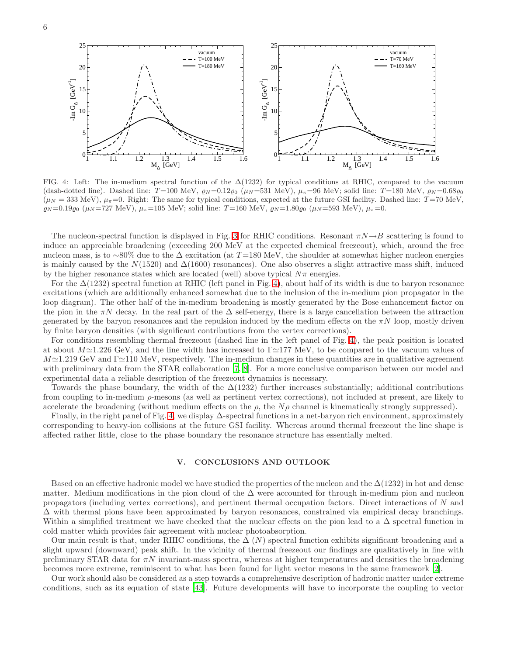

<span id="page-5-1"></span>FIG. 4: Left: The in-medium spectral function of the  $\Delta(1232)$  for typical conditions at RHIC, compared to the vacuum (dash-dotted line). Dashed line:  $T=100 \text{ MeV}, \rho_N=0.12\rho_0 \ (\mu_N=531 \text{ MeV}), \ \mu_{\pi}=96 \text{ MeV};$  solid line:  $T=180 \text{ MeV}, \rho_N=0.68\rho_0$  $(\mu_N = 333 \text{ MeV})$ ,  $\mu_{\pi} = 0$ . Right: The same for typical conditions, expected at the future GSI facility. Dashed line: T=70 MeV,  $\rho_N = 0.19\varrho_0$  ( $\mu_N = 727$  MeV),  $\mu_{\pi} = 105$  MeV; solid line: T=160 MeV,  $\rho_N = 1.80\varrho_0$  ( $\mu_N = 593$  MeV),  $\mu_{\pi} = 0$ .

The nucleon-spectral function is displayed in Fig. [3](#page-4-3) for RHIC conditions. Resonant  $\pi N \rightarrow B$  scattering is found to induce an appreciable broadening (exceeding 200 MeV at the expected chemical freezeout), which, around the free nucleon mass, is to ~80% due to the  $\Delta$  excitation (at T=180 MeV, the shoulder at somewhat higher nucleon energies is mainly caused by the  $N(1520)$  and  $\Delta(1600)$  resonances). One also observes a slight attractive mass shift, induced by the higher resonance states which are located (well) above typical  $N\pi$  energies.

For the  $\Delta(1232)$  spectral function at RHIC (left panel in Fig. [4\)](#page-5-1), about half of its width is due to baryon resonance excitations (which are additionally enhanced somewhat due to the inclusion of the in-medium pion propagator in the loop diagram). The other half of the in-medium broadening is mostly generated by the Bose enhancement factor on the pion in the  $\pi N$  decay. In the real part of the  $\Delta$  self-energy, there is a large cancellation between the attraction generated by the baryon resonances and the repulsion induced by the medium effects on the  $\pi N$  loop, mostly driven by finite baryon densities (with significant contributions from the vertex corrections).

For conditions resembling thermal freezeout (dashed line in the left panel of Fig. [4\)](#page-5-1), the peak position is located at about  $M\simeq1.226$  GeV, and the line width has increased to  $\Gamma\simeq177$  MeV, to be compared to the vacuum values of  $M\simeq 1.219$  GeV and  $\Gamma \simeq 110$  MeV, respectively. The in-medium changes in these quantities are in qualitative agreement with preliminary data from the STAR collaboration [\[7](#page-6-6), [8](#page-6-7)]. For a more conclusive comparison between our model and experimental data a reliable description of the freezeout dynamics is necessary.

Towards the phase boundary, the width of the  $\Delta(1232)$  further increases substantially; additional contributions from coupling to in-medium  $\rho$ -mesons (as well as pertinent vertex corrections), not included at present, are likely to accelerate the broadening (without medium effects on the  $\rho$ , the  $N\rho$  channel is kinematically strongly suppressed).

Finally, in the right panel of Fig. [4,](#page-5-1) we display ∆-spectral functions in a net-baryon rich environment, approximately corresponding to heavy-ion collisions at the future GSI facility. Whereas around thermal freezeout the line shape is affected rather little, close to the phase boundary the resonance structure has essentially melted.

## <span id="page-5-0"></span>V. CONCLUSIONS AND OUTLOOK

Based on an effective hadronic model we have studied the properties of the nucleon and the  $\Delta(1232)$  in hot and dense matter. Medium modifications in the pion cloud of the  $\Delta$  were accounted for through in-medium pion and nucleon propagators (including vertex corrections), and pertinent thermal occupation factors. Direct interactions of N and ∆ with thermal pions have been approximated by baryon resonances, constrained via empirical decay branchings. Within a simplified treatment we have checked that the nuclear effects on the pion lead to a  $\Delta$  spectral function in cold matter which provides fair agreement with nuclear photoabsorption.

Our main result is that, under RHIC conditions, the  $\Delta$  (N) spectral function exhibits significant broadening and a slight upward (downward) peak shift. In the vicinity of thermal freezeout our findings are qualitatively in line with preliminary STAR data for  $\pi N$  invariant-mass spectra, whereas at higher temperatures and densities the broadening becomes more extreme, reminiscent to what has been found for light vector mesons in the same framework [\[2\]](#page-6-1).

Our work should also be considered as a step towards a comprehensive description of hadronic matter under extreme conditions, such as its equation of state [\[43](#page-7-7)]. Future developments will have to incorporate the coupling to vector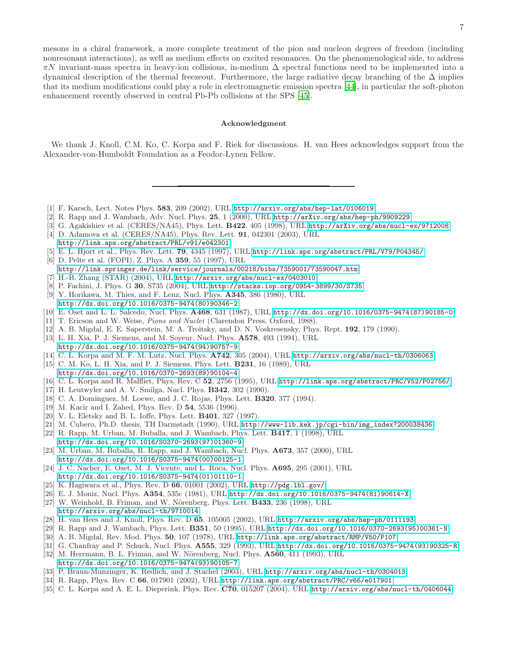mesons in a chiral framework, a more complete treatment of the pion and nucleon degrees of freedom (including nonresonant interactions), as well as medium effects on excited resonances. On the phenomenological side, to address  $\pi N$  invariant-mass spectra in heavy-ion collisions, in-medium  $\Delta$  spectral functions need to be implemented into a dynamical description of the thermal freezeout. Furthermore, the large radiative decay branching of the  $\Delta$  implies that its medium modifications could play a role in electromagnetic emission spectra [\[44\]](#page-7-8), in particular the soft-photon enhancement recently observed in central Pb-Pb collisions at the SPS [\[45](#page-7-9)].

#### Acknowledgment

We thank J. Knoll, C.M. Ko, C. Korpa and F. Riek for discussions. H. van Hees acknowledges support from the Alexander-von-Humboldt Foundation as a Feodor-Lynen Fellow.

- <span id="page-6-0"></span>[1] F. Karsch, Lect. Notes Phys. 583, 209 (2002), URL <http://arxiv.org/abs/hep-lat/0106019>.
- <span id="page-6-1"></span>[2] R. Rapp and J. Wambach, Adv. Nucl. Phys. 25, 1 (2000), URL <http://arXiv.org/abs/hep-ph/9909229>.
- <span id="page-6-2"></span>[3] G. Agakishiev et al. (CERES/NA45), Phys. Lett. B422, 405 (1998), URL <http://arXiv.org/abs/nucl-ex/9712008>.
- <span id="page-6-3"></span>[4] D. Adamova et al. (CERES/NA45), Phys. Rev. Lett. 91, 042301 (2003), URL <http://link.aps.org/abstract/PRL/v91/e042301>.
- <span id="page-6-4"></span>[5] E. L. Hjort et al., Phys. Rev. Lett. 79, 4345 (1997), URL <http://link.aps.org/abstract/PRL/V79/P04345/>.
- [6] D. Pelte et al. (FOPI), Z. Phys. A 359, 55 (1997), URL
- <span id="page-6-5"></span><http://link.springer.de/link/service/journals/00218/bibs/7359001/73590047.htm>.
- <span id="page-6-6"></span>[7] H.-B. Zhang (STAR) (2004), URL <http://arxiv.org/abs/nucl-ex/0403010>.
- [8] P. Fachini, J. Phys. G 30, S735 (2004), URL <http://stacks.iop.org/0954-3899/30/S735>.
- <span id="page-6-8"></span><span id="page-6-7"></span>[9] Y. Horikawa, M. Thies, and F. Lenz, Nucl. Phys. A345, 386 (1980), URL [http://dx.doi.org/10.1016/0375-9474\(80\)90346-2](http://dx.doi.org/10.1016/0375-9474(80)90346-2).
- <span id="page-6-10"></span><span id="page-6-9"></span>[10] E. Oset and L. L. Salcedo, Nucl. Phys. A468, 631 (1987), URL [http://dx.doi.org/10.1016/0375-9474\(87\)90185-0](http://dx.doi.org/10.1016/0375-9474(87)90185-0).
- [11] T. Ericson and W. Weise, Pions and Nuclei (Clarendon Press, Oxford, 1988).
- [12] A. B. Migdal, E. E. Saperstein, M. A. Troitsky, and D. N. Voskresensky, Phys. Rept. 192, 179 (1990).
- <span id="page-6-12"></span><span id="page-6-11"></span>[13] L. H. Xia, P. J. Siemens, and M. Soyeur, Nucl. Phys. A578, 493 (1994), URL [http://dx.doi.org/10.1016/0375-9474\(94\)90757-9](http://dx.doi.org/10.1016/0375-9474(94)90757-9).
- <span id="page-6-13"></span>[14] C. L. Korpa and M. F. M. Lutz, Nucl. Phys. A742, 305 (2004), URL <http://arxiv.org/abs/nucl-th/0306063>.
- <span id="page-6-14"></span>[15] C. M. Ko, L. H. Xia, and P. J. Siemens, Phys. Lett. B231, 16 (1989), URL
- [http://dx.doi.org/10.1016/0370-2693\(89\)90104-4](http://dx.doi.org/10.1016/0370-2693(89)90104-4).
- <span id="page-6-15"></span>[16] C. L. Korpa and R. Malfliet, Phys. Rev. C 52, 2756 (1995), URL <http://link.aps.org/abstract/PRC/V52/P02756/>.
- <span id="page-6-16"></span>[17] H. Leutwyler and A. V. Smilga, Nucl. Phys. B342, 302 (1990).
- <span id="page-6-17"></span>[18] C. A. Dominguez, M. Loewe, and J. C. Rojas, Phys. Lett. B320, 377 (1994).
- <span id="page-6-18"></span>[19] M. Kacir and I. Zahed, Phys. Rev. D 54, 5536 (1996).
- <span id="page-6-19"></span>[20] V. L. Eletsky and B. L. Ioffe, Phys. Lett. B401, 327 (1997).
- <span id="page-6-20"></span>[21] M. Cubero, Ph.D. thesis, TH Darmstadt (1990), URL [http://www-lib.kek.jp/cgi-bin/img\\_index?200038436](http://www-lib.kek.jp/cgi-bin/img_index?200038436).
- <span id="page-6-21"></span>[22] R. Rapp, M. Urban, M. Buballa, and J. Wambach, Phys. Lett. B417, 1 (1998), URL
- <span id="page-6-22"></span>[http://dx.doi.org/10.1016/S0370-2693\(97\)01360-9](http://dx.doi.org/10.1016/S0370-2693(97)01360-9). [23] M. Urban, M. Buballa, R. Rapp, and J. Wambach, Nucl. Phys. A673, 357 (2000), URL [http://dx.doi.org/10.1016/S0375-9474\(00\)00125-1](http://dx.doi.org/10.1016/S0375-9474(00)00125-1).
- <span id="page-6-23"></span>[24] J. C. Nacher, E. Oset, M. J. Vicente, and L. Roca, Nucl. Phys. A695, 295 (2001), URL [http://dx.doi.org/10.1016/S0375-9474\(01\)01110-1](http://dx.doi.org/10.1016/S0375-9474(01)01110-1).
- <span id="page-6-24"></span>[25] K. Hagiwara et al., Phys. Rev. D 66, 01001 (2002), URL <http://pdg.lbl.gov/>.
- [26] E. J. Moniz, Nucl. Phys. A354, 535c (1981), URL [http://dx.doi.org/10.1016/0375-9474\(81\)90614-X](http://dx.doi.org/10.1016/0375-9474(81)90614-X).
- <span id="page-6-26"></span><span id="page-6-25"></span> $[27]$  W. Weinhold, B. Friman, and W. Nörenberg, Phys. Lett. **B433**, 236 (1998), URL <http://arxiv.org/abs/nucl-th/9710014>.
- <span id="page-6-27"></span>[28] H. van Hees and J. Knoll, Phys. Rev. D 65, 105005 (2002), URL <http://arxiv.org/abs/hep-ph/0111193>.
- [29] R. Rapp and J. Wambach, Phys. Lett. B351, 50 (1995), URL [http://dx.doi.org/10.1016/0370-2693\(95\)00361-N](http://dx.doi.org/10.1016/0370-2693(95)00361-N).
- <span id="page-6-29"></span><span id="page-6-28"></span>[30] A. B. Migdal, Rev. Mod. Phys. 50, 107 (1978), URL <http://link.aps.org/abstract/RMP/V50/P107>.
- [31] G. Chanfray and P. Schuck, Nucl. Phys. A555, 329 (1993), URL [http://dx.doi.org/10.1016/0375-9474\(93\)90325-R](http://dx.doi.org/10.1016/0375-9474(93)90325-R).
- <span id="page-6-31"></span><span id="page-6-30"></span>[32] M. Herrmann, B. L. Friman, and W. Nörenberg, Nucl. Phys.  $A560$ , 411 (1993), URL [http://dx.doi.org/10.1016/0375-9474\(93\)90105-7](http://dx.doi.org/10.1016/0375-9474(93)90105-7).
- [33] P. Braun-Munzinger, K. Redlich, and J. Stachel (2003), URL <http://arxiv.org/abs/nucl-th/0304013>.
- <span id="page-6-33"></span><span id="page-6-32"></span>[34] R. Rapp, Phys. Rev. C 66, 017901 (2002), URL <http://link.aps.org/abstract/PRC/v66/e017901>.
- <span id="page-6-34"></span>[35] C. L. Korpa and A. E. L. Dieperink, Phys. Rev. C70, 015207 (2004), URL <http://arxiv.org/abs/nucl-th/0406044>.